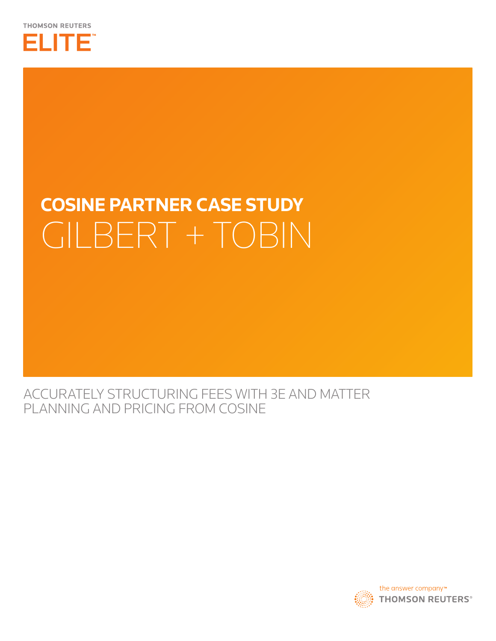

# **Cosine Partner Case study** Gilbert + Tobin

ACCURATELY STRUCTURING FEES WITH 3E AND MATTER PLANNING AND PRICING FROM COSINE

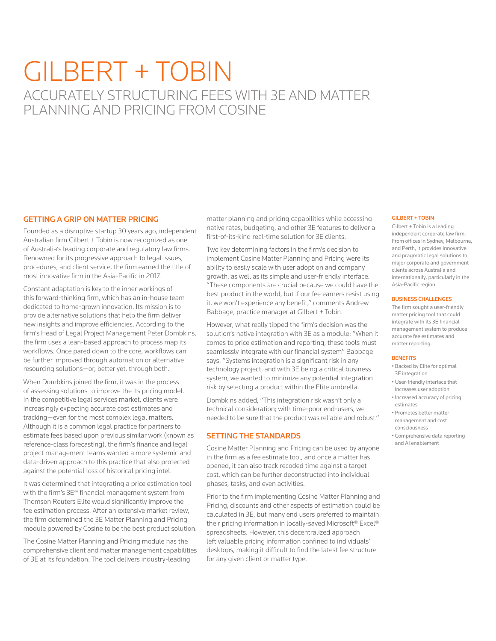## Gilbert + Tobin ACCURATELY STRUCTURING FEES WITH 3E AND MATTER PLANNING AND PRICING FROM COSINE

#### GETTING A GRIP ON MATTER PRICING

Founded as a disruptive startup 30 years ago, independent Australian firm Gilbert + Tobin is now recognized as one of Australia's leading corporate and regulatory law firms. Renowned for its progressive approach to legal issues, procedures, and client service, the firm earned the title of most innovative firm in the Asia-Pacific in 2017.

Constant adaptation is key to the inner workings of this forward-thinking firm, which has an in-house team dedicated to home-grown innovation. Its mission is to provide alternative solutions that help the firm deliver new insights and improve efficiencies. According to the firm's Head of Legal Project Management Peter Dombkins, the firm uses a lean-based approach to process map its workflows. Once pared down to the core, workflows can be further improved through automation or alternative resourcing solutions—or, better yet, through both.

When Dombkins joined the firm, it was in the process of assessing solutions to improve the its pricing model. In the competitive legal services market, clients were increasingly expecting accurate cost estimates and tracking—even for the most complex legal matters. Although it is a common legal practice for partners to estimate fees based upon previous similar work (known as reference-class forecasting), the firm's finance and legal project management teams wanted a more systemic and data-driven approach to this practice that also protected against the potential loss of historical pricing intel.

It was determined that integrating a price estimation tool with the firm's 3E® financial management system from Thomson Reuters Elite would significantly improve the fee estimation process. After an extensive market review, the firm determined the 3E Matter Planning and Pricing module powered by Cosine to be the best product solution.

The Cosine Matter Planning and Pricing module has the comprehensive client and matter management capabilities of 3E at its foundation. The tool delivers industry-leading

matter planning and pricing capabilities while accessing native rates, budgeting, and other 3E features to deliver a first-of-its-kind real-time solution for 3E clients.

Two key determining factors in the firm's decision to implement Cosine Matter Planning and Pricing were its ability to easily scale with user adoption and company growth, as well as its simple and user-friendly interface. "These components are crucial because we could have the best product in the world, but if our fee earners resist using it, we won't experience any benefit," comments Andrew Babbage, practice manager at Gilbert + Tobin.

However, what really tipped the firm's decision was the solution's native integration with 3E as a module: "When it comes to price estimation and reporting, these tools must seamlessly integrate with our financial system" Babbage says. "Systems integration is a significant risk in any technology project, and with 3E being a critical business system, we wanted to minimize any potential integration risk by selecting a product within the Elite umbrella.

Dombkins added, "This integration risk wasn't only a technical consideration; with time-poor end-users, we needed to be sure that the product was reliable and robust."

#### SETTING THE STANDARDS

Cosine Matter Planning and Pricing can be used by anyone in the firm as a fee estimate tool, and once a matter has opened, it can also track recoded time against a target cost, which can be further deconstructed into individual phases, tasks, and even activities.

Prior to the firm implementing Cosine Matter Planning and Pricing, discounts and other aspects of estimation could be calculated in 3E, but many end users preferred to maintain their pricing information in locally-saved Microsoft® Excel® spreadsheets. However, this decentralized approach left valuable pricing information confined to individuals' desktops, making it difficult to find the latest fee structure for any given client or matter type.

#### GILBERT + TOBIN

Gilbert + Tobin is a leading independent corporate law firm. From offices in Sydney, Melbourne, and Perth, it provides innovative and pragmatic legal solutions to major corporate and government clients across Australia and internationally, particularly in the Asia-Pacific region.

#### BUSINESS CHALLENGES

The firm sought a user-friendly matter pricing tool that could integrate with its 3E financial management system to produce accurate fee estimates and matter reporting.

#### **BENEFITS**

- Backed by Elite for optimal 3E integration
- User-friendly interface that increases user adoption
- Increased accuracy of pricing estimates
- Promotes better matter management and cost consciousness

and AI enablement

• Comprehensive data reporting